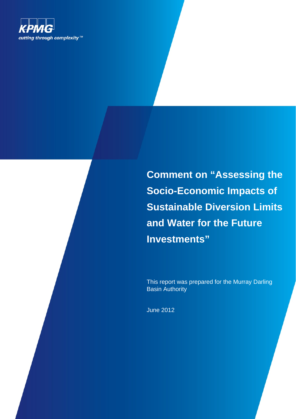

**Comment on "Assessing the Socio-Economic Impacts of Sustainable Diversion Limits and Water for the Future Investments"** 

This report was prepared for the Murray Darling **Basin Authority** 

June 2012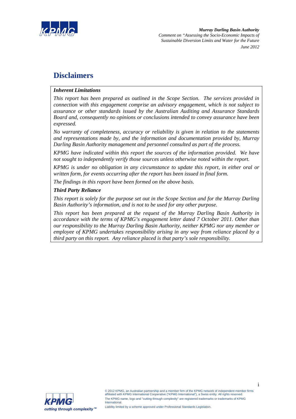

# **Disclaimers**

### *Inherent Limitations*

*This report has been prepared as outlined in the Scope Section. The services provided in connection with this engagement comprise an advisory engagement, which is not subject to assurance or other standards issued by the Australian Auditing and Assurance Standards Board and, consequently no opinions or conclusions intended to convey assurance have been expressed.* 

*No warranty of completeness, accuracy or reliability is given in relation to the statements and representations made by, and the information and documentation provided by, Murray Darling Basin Authority management and personnel consulted as part of the process.* 

*KPMG have indicated within this report the sources of the information provided. We have not sought to independently verify those sources unless otherwise noted within the report.* 

*KPMG is under no obligation in any circumstance to update this report, in either oral or written form, for events occurring after the report has been issued in final form.* 

*The findings in this report have been formed on the above basis.* 

### *Third Party Reliance*

*This report is solely for the purpose set out in the Scope Section and for the Murray Darling Basin Authority's information, and is not to be used for any other purpose.* 

*This report has been prepared at the request of the Murray Darling Basin Authority in accordance with the terms of KPMG's engagement letter dated 7 October 2011. Other than our responsibility to the Murray Darling Basin Authority, neither KPMG nor any member or employee of KPMG undertakes responsibility arising in any way from reliance placed by a third party on this report. Any reliance placed is that party's sole responsibility.* 

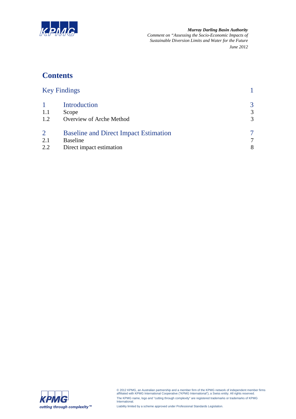

*Murray Darling Basin Authority Comment on "Assessing the Socio-Economic Impacts of Sustainable Diversion Limits and Water for the Future June 2012*

# **Contents**

| <b>Key Findings</b> |                                              |   |
|---------------------|----------------------------------------------|---|
|                     | Introduction                                 | 3 |
| 1.1                 | Scope                                        | 3 |
| 1.2                 | Overview of Arche Method                     | 3 |
| $\overline{2}$      | <b>Baseline and Direct Impact Estimation</b> |   |
| 2.1                 | <b>Baseline</b>                              | 7 |
| 2.2                 | Direct impact estimation                     | 8 |
|                     |                                              |   |



© 2012 KPMG, an Australian partnership and a member firm of the KPMG network of independent member firms affiliated with KPMG International Cooperative ("KPMG International"), a Swiss entity. All rights reserved. The KPMG name, logo and "cutting through complexity" are registered trademarks or trademarks of KPMG International.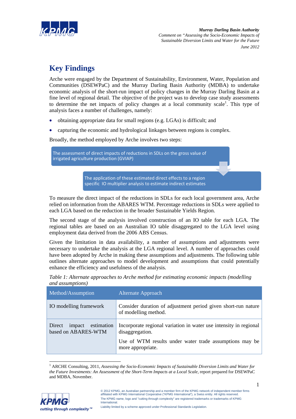

# **Key Findings**

Arche were engaged by the Department of Sustainability, Environment, Water, Population and Communities (DSEWPaC) and the Murray Darling Basin Authority (MDBA) to undertake economic analysis of the short-run impact of policy changes in the Murray Darling Basin at a fine level of regional detail. The objective of the project was to develop case study assessments to determine the net impacts of policy changes at a local community scale<sup>1</sup>. This type of analysis faces a number of challenges, namely:

- obtaining appropriate data for small regions (e.g. LGAs) is difficult; and
- capturing the economic and hydrological linkages between regions is complex.

Broadly, the method employed by Arche involves two steps:

The assessment of direct impacts of reductions in SDLs on the gross value of irrigated agriculture production (GVIAP)

> The application of these estimated direct effects to a region specific IO multiplier analysis to estimate indirect estimates

To measure the direct impact of the reductions in SDLs for each local government area, Arche relied on information from the ABARES WTM. Percentage reductions in SDLs were applied to each LGA based on the reduction in the broader Sustainable Yields Region.

The second stage of the analysis involved construction of an IO table for each LGA. The regional tables are based on an Australian IO table disaggregated to the LGA level using employment data derived from the 2006 ABS Census.

Given the limitation in data availability, a number of assumptions and adjustments were necessary to undertake the analysis at the LGA regional level. A number of approaches could have been adopted by Arche in making these assumptions and adjustments. The following table outlines alternate approaches to model development and assumptions that could potentially enhance the efficiency and usefulness of the analysis.

| <i>unu uppmipmons</i>                                 |                                                                                       |  |  |  |
|-------------------------------------------------------|---------------------------------------------------------------------------------------|--|--|--|
| Method/Assumption                                     | Alternate Approach                                                                    |  |  |  |
| IO modelling framework                                | Consider duration of adjustment period given short-run nature<br>of modelling method. |  |  |  |
| estimation<br>Direct<br>impact<br>based on ABARES-WTM | Incorporate regional variation in water use intensity in regional<br>disaggregation.  |  |  |  |
|                                                       | Use of WTM results under water trade assumptions may be<br>more appropriate.          |  |  |  |

| Table 1: Alternate approaches to Arche method for estimating economic impacts (modelling |  |  |
|------------------------------------------------------------------------------------------|--|--|
| and assumptions)                                                                         |  |  |

l <sup>1</sup> ARCHE Consulting, 2011, *Assessing the Socio-Economic Impacts of Sustainable Diversion Limits and Water for the Future Investments: An Assessment of the Short-Term Impacts at a Local Scale, report prepared for DSEWPaC* and MDBA, November.

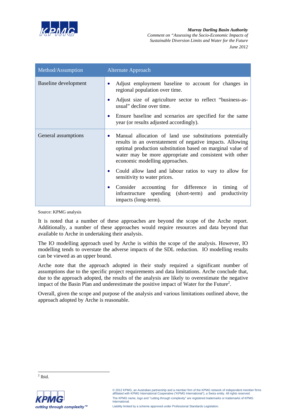

*Murray Darling Basin Authority Comment on "Assessing the Socio-Economic Impacts of Sustainable Diversion Limits and Water for the Future June 2012*

| Method/Assumption    | <b>Alternate Approach</b>                                                                                                                                                                                                                                                            |
|----------------------|--------------------------------------------------------------------------------------------------------------------------------------------------------------------------------------------------------------------------------------------------------------------------------------|
| Baseline development | Adjust employment baseline to account for changes in<br>$\bullet$<br>regional population over time.                                                                                                                                                                                  |
|                      | Adjust size of agriculture sector to reflect "business-as-<br>usual" decline over time.                                                                                                                                                                                              |
|                      | Ensure baseline and scenarios are specified for the same<br>٠<br>year (or results adjusted accordingly).                                                                                                                                                                             |
| General assumptions  | Manual allocation of land use substitutions potentially<br>٠<br>results in an overstatement of negative impacts. Allowing<br>optimal production substitution based on marginal value of<br>water may be more appropriate and consistent with other<br>economic modelling approaches. |
|                      | Could allow land and labour ratios to vary to allow for<br>$\bullet$<br>sensitivity to water prices.                                                                                                                                                                                 |
|                      | Consider accounting for difference in timing of<br>٠<br>infrastructure spending (short-term) and productivity<br>impacts (long-term).                                                                                                                                                |

Source: KPMG analysis

It is noted that a number of these approaches are beyond the scope of the Arche report. Additionally, a number of these approaches would require resources and data beyond that available to Arche in undertaking their analysis.

The IO modelling approach used by Arche is within the scope of the analysis. However, IO modelling tends to overstate the adverse impacts of the SDL reduction. IO modelling results can be viewed as an upper bound.

Arche note that the approach adopted in their study required a significant number of assumptions due to the specific project requirements and data limitations. Arche conclude that, due to the approach adopted, the results of the analysis are likely to overestimate the negative impact of the Basin Plan and underestimate the positive impact of Water for the Future<sup>2</sup>.

Overall, given the scope and purpose of the analysis and various limitations outlined above, the approach adopted by Arche is reasonable.

 $\frac{2}{2}$  Ibid.



© 2012 KPMG, an Australian partnership and a member firm of the KPMG network of independent member firms affiliated with KPMG International Cooperative ("KPMG International"), a Swiss entity. All rights reserved. The KPMG name, logo and "cutting through complexity" are registered trademarks or trademarks of KPMG **International**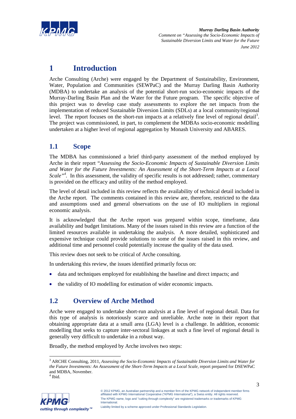

# **1 Introduction**

Arche Consulting (Arche) were engaged by the Department of Sustainability, Environment, Water, Population and Communities (SEWPaC) and the Murray Darling Basin Authority (MDBA) to undertake an analysis of the potential short-run socio-economic impacts of the Murray-Darling Basin Plan and the Water for the Future program. The specific objective of this project was to develop case study assessments to explore the net impacts from the implementation of reduced Sustainable Diversion Limits (SDLs) at a local community/regional level. The report focuses on the short-run impacts at a relatively fine level of regional detail<sup>3</sup>. The project was commissioned, in part, to complement the MDBAs socio-economic modelling undertaken at a higher level of regional aggregation by Monash University and ABARES.

# **1.1 Scope**

The MDBA has commissioned a brief third-party assessment of the method employed by Arche in their report "*Assessing the Socio-Economic Impacts of Sustainable Diversion Limits and Water for the Future Investments: An Assessment of the Short-Term Impacts at a Local Scale*<sup>24</sup>. In this assessment, the validity of specific results is not addressed; rather, commentary is provided on the efficacy and utility of the method employed.

The level of detail included in this review reflects the availability of technical detail included in the Arche report. The comments contained in this review are, therefore, restricted to the data and assumptions used and general observations on the use of IO multipliers in regional economic analysis.

It is acknowledged that the Arche report was prepared within scope, timeframe, data availability and budget limitations. Many of the issues raised in this review are a function of the limited resources available in undertaking the analysis. A more detailed, sophisticated and expensive technique could provide solutions to some of the issues raised in this review, and additional time and personnel could potentially increase the quality of the data used.

This review does not seek to be critical of Arche consulting.

In undertaking this review, the issues identified primarily focus on:

- data and techniques employed for establishing the baseline and direct impacts; and
- the validity of IO modelling for estimation of wider economic impacts.

## **1.2 Overview of Arche Method**

Arche were engaged to undertake short-run analysis at a fine level of regional detail. Data for this type of analysis is notoriously scarce and unreliable. Arche note in their report that obtaining appropriate data at a small area (LGA) level is a challenge. In addition, economic modelling that seeks to capture inter-sectoral linkages at such a fine level of regional detail is generally very difficult to undertake in a robust way.

Broadly, the method employed by Arche involves two steps:

l



<sup>3</sup> ARCHE Consulting, 2011, *Assessing the Socio-Economic Impacts of Sustainable Diversion Limits and Water for the Future Investments: An Assessment of the Short-Term Impacts at a Local Scale, report prepared for DSEWPaC* and MDBA, November.

<sup>4</sup> Ibid.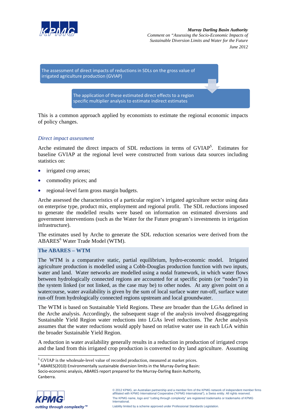



This is a common approach applied by economists to estimate the regional economic impacts of policy changes.

### *Direct impact assessment*

Arche estimated the direct impacts of SDL reductions in terms of GVIAP<sup>5</sup>. Estimates for baseline GVIAP at the regional level were constructed from various data sources including statistics on:

- irrigated crop areas;
- commodity prices; and
- regional-level farm gross margin budgets.

Arche assessed the characteristics of a particular region's irrigated agriculture sector using data on enterprise type, product mix, employment and regional profit. The SDL reductions imposed to generate the modelled results were based on information on estimated diversions and government interventions (such as the Water for the Future program's investments in irrigation infrastructure).

The estimates used by Arche to generate the SDL reduction scenarios were derived from the ABARES<sup>6</sup> Water Trade Model (WTM).

#### **The ABARES – WTM**

The WTM is a comparative static, partial equilibrium, hydro-economic model. Irrigated agriculture production is modelled using a Cobb-Douglas production function with two inputs, water and land. Water networks are modelled using a nodal framework, in which water flows between hydrologically connected regions are accounted for at specific points (or "nodes") in the system linked (or not linked, as the case may be) to other nodes. At any given point on a watercourse, water availability is given by the sum of local surface water run-off, surface water run-off from hydrologically connected regions upstream and local groundwater.

The WTM is based on Sustainable Yield Regions. These are broader than the LGAs defined in the Arche analysis. Accordingly, the subsequent stage of the analysis involved disaggregating Sustainable Yield Region water reductions into LGAs level reductions. The Arche analysis assumes that the water reductions would apply based on relative water use in each LGA within the broader Sustainable Yield Region.

A reduction in water availability generally results in a reduction in production of irrigated crops and the land from this irrigated crop production is converted to dry land agriculture. Assuming

 $<sup>6</sup>$  ABARES(2010) Environmentally sustainable diversion limits in the Murray-Darling Basin:</sup> Socio-economic analysis, ABARES report prepared for the Murray-Darling Basin Authority, Canberra.



1

<sup>&</sup>lt;sup>5</sup> GVIAP is the wholesale-level value of recorded production, measured at market prices.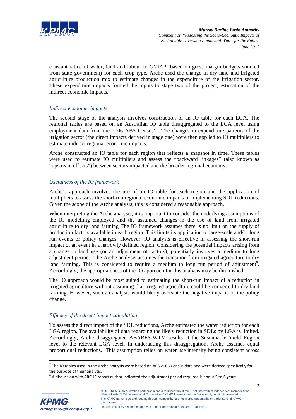

constant ratios of water, land and labour to GVIAP (based on gross margin budgets sourced from state government) for each crop type, Arche used the change in dry land and irrigated agriculture production mix to estimate changes in the expenditure of the irrigation sector. These expenditure impacts formed the inputs to stage two of the project, estimation of the indirect economic impacts.

### *Indirect economic impacts*

The second stage of the analysis involves construction of an IO table for each LGA. The regional tables are based on an Australian IO table disaggregated to the LGA level using employment data from the 2006 ABS Census<sup>7</sup>. The changes in expenditure patterns of the irrigation sector (the direct impacts derived in stage one) were then applied to IO multipliers to estimate indirect regional economic impacts.

Arche constructed an IO table for each region that reflects a snapshot in time. These tables were used to estimate IO multipliers and assess the "backward linkages" (also known as "upstream effects") between sectors impacted and the broader regional economy.

### *Usefulness of the IO framework*

Arche's approach involves the use of an IO table for each region and the application of multipliers to assess the short-run regional economic impacts of implementing SDL reductions. Given the scope of the Arche analysis, this is considered a reasonable approach.

When interpreting the Arche analysis, it is important to consider the underlying assumptions of the IO modelling employed and the assumed changes in the use of land from irrigated agriculture to dry land farming The IO framework assumes there is no limit on the supply of production factors available in each region. This limits its application to large-scale and/or long run events or policy changes. However, IO analysis is effective in assessing the short-run impact of an event in a narrowly defined region. Considering the potential impacts arising from a change in land use (or an adjustment of factors), potentially involves a medium to long adjustment period. The Arche analysis assumes the transition from irrigated agriculture to dry land farming. This is considered to require a medium to long run period of adjustment<sup>8</sup>. Accordingly, the appropriateness of the IO approach for this analysis may be diminished.

The IO approach would be most suited to estimating the short-run impact of a reduction in irrigated agriculture without assuming that irrigated agriculture could be converted to dry land farming. However, such an analysis would likely overstate the negative impacts of the policy change.

### *Efficacy of the direct impact calculation*

To assess the direct impact of the SDL reductions, Arche estimated the water reduction for each LGA region. The availability of data regarding the likely reduction in SDLs by LGA is limited. Accordingly, Arche disaggregated ABARES-WTM results at the Sustainable Yield Region level to the relevant LGA level. In undertaking this disaggregation, Arche assumes equal proportional reductions. This assumption relies on water use intensity being consistent across



l

 $7$  The IO tables used in the Arche analysis were based on ABS 2006 Census data and were derived specifically for the purpose of their analysis.<br><sup>8</sup> A discussion with ARCHE report author indicated the adjustment period required is about 5 to 6 years.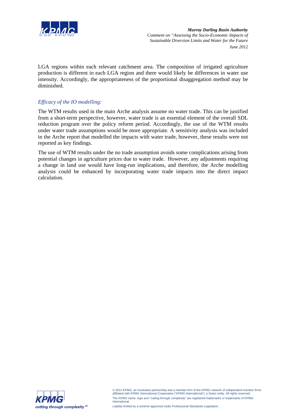

LGA regions within each relevant catchment area. The composition of irrigated agriculture production is different in each LGA region and there would likely be differences in water use intensity. Accordingly, the appropriateness of the proportional disaggregation method may be diminished.

### *Efficacy of the IO modelling:*

The WTM results used in the main Arche analysis assume no water trade. This can be justified from a short-term perspective, however, water trade is an essential element of the overall SDL reduction program over the policy reform period. Accordingly, the use of the WTM results under water trade assumptions would be more appropriate. A sensitivity analysis was included in the Arche report that modelled the impacts with water trade, however, these results were not reported as key findings.

The use of WTM results under the no trade assumption avoids some complications arising from potential changes in agriculture prices due to water trade. However, any adjustments requiring a change in land use would have long-run implications, and therefore, the Arche modelling analysis could be enhanced by incorporating water trade impacts into the direct impact calculation.



© 2012 KPMG, an Australian partnership and a member firm of the KPMG network of independent member firms affiliated with KPMG International Cooperative ("KPMG International"), a Swiss entity. All rights reserved. The KPMG name, logo and "cutting through complexity" are registered trademarks or trademarks of KPMG International.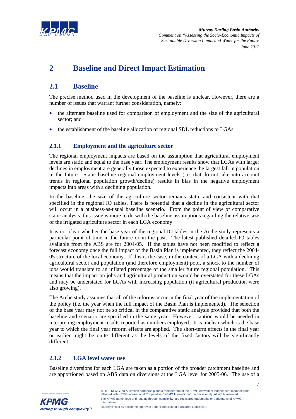

# **2 Baseline and Direct Impact Estimation**

# **2.1 Baseline**

The precise method used in the development of the baseline is unclear. However, there are a number of issues that warrant further consideration, namely:

- the alternate baseline used for comparison of employment and the size of the agricultural sector; and
- the establishment of the baseline allocation of regional SDL reductions to LGAs.

## **2.1.1 Employment and the agriculture sector**

The regional employment impacts are based on the assumption that agricultural employment levels are static and equal to the base year. The employment results show that LGAs with larger declines in employment are generally those expected to experience the largest fall in population in the future. Static baseline regional employment levels (i.e. that do not take into account trends in regional population growth/decline) results in bias in the negative employment impacts into areas with a declining population.

In the baseline, the size of the agriculture sector remains static and consistent with that specified in the regional IO tables. There is potential that a decline in the agricultural sector will occur in a business-as-usual baseline scenario. From the point of view of comparative static analysis, this issue is more to do with the baseline assumptions regarding the relative size of the irrigated agriculture sector in each LGA economy.

It is not clear whether the base year of the regional IO tables in the Arche study represents a particular point of time in the future or in the past. The latest published detailed IO tables available from the ABS are for 2004-05. If the tables have not been modified to reflect a forecast economy once the full impact of the Basin Plan is implemented, they reflect the 2004- 05 structure of the local economy. If this is the case, in the context of a LGA with a declining agricultural sector and population (and therefore employment) pool, a shock to the number of jobs would translate to an inflated percentage of the smaller future regional population. This means that the impact on jobs and agricultural production would be overstated for these LGAs and may be understated for LGAs with increasing population (if agricultural production were also growing).

The Arche study assumes that all of the reforms occur in the final year of the implementation of the policy (i.e. the year when the full impact of the Basin Plan is implemented). The selection of the base year may not be so critical in the comparative static analysis provided that both the baseline and scenario are specified in the same year. However, caution would be needed in interpreting employment results reported as numbers employed. It is unclear which is the base year to which the final year reform effects are applied. The short-term effects in the final year or earlier might be quite different as the levels of the fixed factors will be significantly different.

## **2.1.2 LGA level water use**

Baseline diversions for each LGA are taken as a portion of the broader catchment baseline and are apportioned based on ABS data on diversions at the LGA level for 2005-06. The use of a

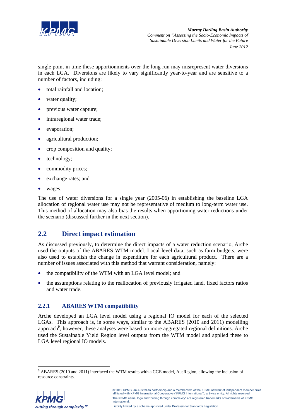

single point in time these apportionments over the long run may misrepresent water diversions in each LGA. Diversions are likely to vary significantly year-to-year and are sensitive to a number of factors, including:

- total rainfall and location;
- water quality;
- previous water capture;
- intraregional water trade;
- evaporation;
- agricultural production;
- crop composition and quality;
- technology;
- commodity prices;
- exchange rates: and
- wages.

The use of water diversions for a single year (2005-06) in establishing the baseline LGA allocation of regional water use may not be representative of medium to long-term water use. This method of allocation may also bias the results when apportioning water reductions under the scenario (discussed further in the next section).

## **2.2 Direct impact estimation**

As discussed previously, to determine the direct impacts of a water reduction scenario, Arche used the outputs of the ABARES WTM model. Local level data, such as farm budgets, were also used to establish the change in expenditure for each agricultural product. There are a number of issues associated with this method that warrant consideration, namely:

- the compatibility of the WTM with an LGA level model; and
- the assumptions relating to the reallocation of previously irrigated land, fixed factors ratios and water trade.

## **2.2.1 ABARES WTM compatibility**

Arche developed an LGA level model using a regional IO model for each of the selected LGAs. This approach is, in some ways, similar to the ABARES (2010 and 2011) modelling approach<sup>9</sup>, however, these analyses were based on more aggregated regional definitions. Arche used the Sustainable Yield Region level outputs from the WTM model and applied these to LGA level regional IO models.

MBARES (2010 and 2011) interfaced the WTM results with a CGE model, AusRegion, allowing the inclusion of resource constraints.

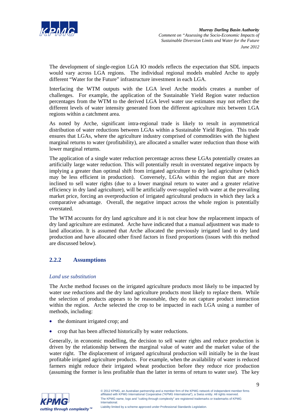

The development of single-region LGA IO models reflects the expectation that SDL impacts would vary across LGA regions. The individual regional models enabled Arche to apply different "Water for the Future" infrastructure investment in each LGA.

Interfacing the WTM outputs with the LGA level Arche models creates a number of challenges. For example, the application of the Sustainable Yield Region water reduction percentages from the WTM to the derived LGA level water use estimates may not reflect the different levels of water intensity generated from the different agriculture mix between LGA regions within a catchment area.

As noted by Arche, significant intra-regional trade is likely to result in asymmetrical distribution of water reductions between LGAs within a Sustainable Yield Region. This trade ensures that LGAs, where the agriculture industry comprised of commodities with the highest marginal returns to water (profitability), are allocated a smaller water reduction than those with lower marginal returns.

The application of a single water reduction percentage across these LGAs potentially creates an artificially large water reduction. This will potentially result in overstated negative impacts by implying a greater than optimal shift from irrigated agriculture to dry land agriculture (which may be less efficient in production). Conversely, LGAs within the region that are more inclined to sell water rights (due to a lower marginal return to water and a greater relative efficiency in dry land agriculture), will be artificially over-supplied with water at the prevailing market price, forcing an overproduction of irrigated agricultural products in which they lack a comparative advantage. Overall, the negative impact across the whole region is potentially overstated.

The WTM accounts for dry land agriculture and it is not clear how the replacement impacts of dry land agriculture are estimated. Arche have indicated that a manual adjustment was made to land allocation. It is assumed that Arche allocated the previously irrigated land to dry land production and have allocated other fixed factors in fixed proportions (issues with this method are discussed below).

## **2.2.2 Assumptions**

### *Land use substitution*

The Arche method focuses on the irrigated agriculture products most likely to be impacted by water use reductions and the dry land agriculture products most likely to replace them. While the selection of products appears to be reasonable, they do not capture product interaction within the region. Arche selected the crop to be impacted in each LGA using a number of methods, including:

- the dominant irrigated crop; and
- crop that has been affected historically by water reductions.

Generally, in economic modelling, the decision to sell water rights and reduce production is driven by the relationship between the marginal value of water and the market value of the water right. The displacement of irrigated agricultural production will initially be in the least profitable irrigated agriculture products. For example, when the availability of water is reduced farmers might reduce their irrigated wheat production before they reduce rice production (assuming the former is less profitable than the latter in terms of return to water use). The key

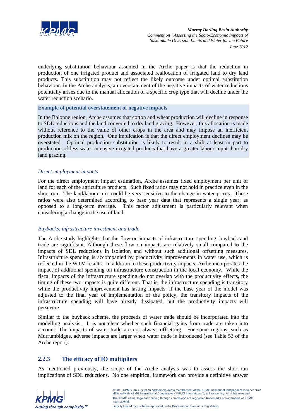

underlying substitution behaviour assumed in the Arche paper is that the reduction in production of one irrigated product and associated reallocation of irrigated land to dry land products. This substitution may not reflect the likely outcome under optimal substitution behaviour. In the Arche analysis, an overstatement of the negative impacts of water reductions potentially arises due to the manual allocation of a specific crop type that will decline under the water reduction scenario.

#### **Example of potential overstatement of negative impacts**

In the Balonne region, Arche assumes that cotton and wheat production will decline in response to SDL reductions and the land converted to dry land grazing. However, this allocation is made without reference to the value of other crops in the area and may impose an inefficient production mix on the region. One implication is that the direct employment declines may be overstated. Optimal production substitution is likely to result in a shift at least in part to production of less water intensive irrigated products that have a greater labour input than dry land grazing.

#### *Direct employment impacts*

For the direct employment impact estimation, Arche assumes fixed employment per unit of land for each of the agriculture products. Such fixed ratios may not hold in practice even in the short run. The land/labour mix could be very sensitive to the change in water prices. These ratios were also determined according to base year data that represents a single year, as opposed to a long-term average. This factor adjustment is particularly relevant when considering a change in the use of land.

### *Buybacks, infrastructure investment and trade*

The Arche study highlights that the flow-on impacts of infrastructure spending, buyback and trade are significant. Although these flow on impacts are relatively small compared to the impacts of SDL reductions in isolation and without such additional offsetting measures. Infrastructure spending is accompanied by productivity improvements in water use, which is reflected in the WTM results. In addition to these productivity impacts, Arche incorporates the impact of additional spending on infrastructure construction in the local economy. While the fiscal impacts of the infrastructure spending do not overlap with the productivity effects, the timing of these two impacts is quite different. That is, the infrastructure spending is transitory while the productivity improvement has lasting impacts. If the base year of the model was adjusted to the final year of implementation of the policy, the transitory impacts of the infrastructure spending will have already dissipated, but the productivity impacts will persevere.

Similar to the buyback scheme, the proceeds of water trade should be incorporated into the modelling analysis. It is not clear whether such financial gains from trade are taken into account. The impacts of water trade are not always offsetting. For some regions, such as Murrumbidgee, adverse impacts are larger when water trade is introduced (see Table 53 of the Arche report).

### **2.2.3 The efficacy of IO multipliers**

As mentioned previously, the scope of the Arche analysis was to assess the short-run implications of SDL reductions. No one empirical framework can provide a definitive answer

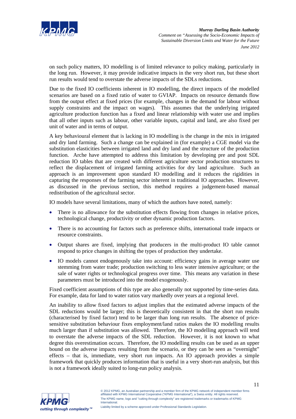

on such policy matters, IO modelling is of limited relevance to policy making, particularly in the long run. However, it may provide indicative impacts in the very short run, but these short run results would tend to overstate the adverse impacts of the SDLs reductions.

Due to the fixed IO coefficients inherent in IO modelling, the direct impacts of the modelled scenarios are based on a fixed ratio of water to GVIAP. Impacts on resource demands flow from the output effect at fixed prices (for example, changes in the demand for labour without supply constraints and the impact on wages). This assumes that the underlying irrigated agriculture production function has a fixed and linear relationship with water use and implies that all other inputs such as labour, other variable inputs, capital and land, are also fixed per unit of water and in terms of output.

A key behavioural element that is lacking in IO modelling is the change in the mix in irrigated and dry land farming. Such a change can be explained in (for example) a CGE model via the substitution elasticities between irrigated land and dry land and the structure of the production function. Arche have attempted to address this limitation by developing pre and post SDL reduction IO tables that are created with different agriculture sector production structures to reflect the displacement of irrigated farming activities for dry land agriculture. Such an approach is an improvement upon standard IO modelling and it reduces the rigidities in capturing the responses of the farming sector inherent in traditional IO approaches. However, as discussed in the previous section, this method requires a judgement-based manual redistribution of the agricultural sector.

IO models have several limitations, many of which the authors have noted, namely:

- There is no allowance for the substitution effects flowing from changes in relative prices, technological change, productivity or other dynamic production factors.
- There is no accounting for factors such as preference shifts, international trade impacts or resource constraints.
- Output shares are fixed, implying that producers in the multi-product IO table cannot respond to price changes in shifting the types of production they undertake.
- IO models cannot endogenously take into account: efficiency gains in average water use stemming from water trade; production switching to less water intensive agriculture; or the sale of water rights or technological progress over time. This means any variation in these parameters must be introduced into the model exogenously.

Fixed coefficient assumptions of this type are also generally not supported by time-series data. For example, data for land to water ratios vary markedly over years at a regional level.

An inability to allow fixed factors to adjust implies that the estimated adverse impacts of the SDL reductions would be larger; this is theoretically consistent in that the short run results (characterised by fixed factor) tend to be larger than long run results. The absence of pricesensitive substitution behaviour fixes employment/land ratios makes the IO modelling results much larger than if substitution was allowed. Therefore, the IO modelling approach will tend to overstate the adverse impacts of the SDL reduction. However, it is not known to what degree this overestimation occurs. Therefore, the IO modelling results can be used as an upper bound on the adverse impacts resulting from the scenario, or they can be seen as "overnight" effects – that is, immediate, very short run impacts. An IO approach provides a simple framework that quickly produces information that is useful in a very short-run analysis, but this is not a framework ideally suited to long-run policy analysis.